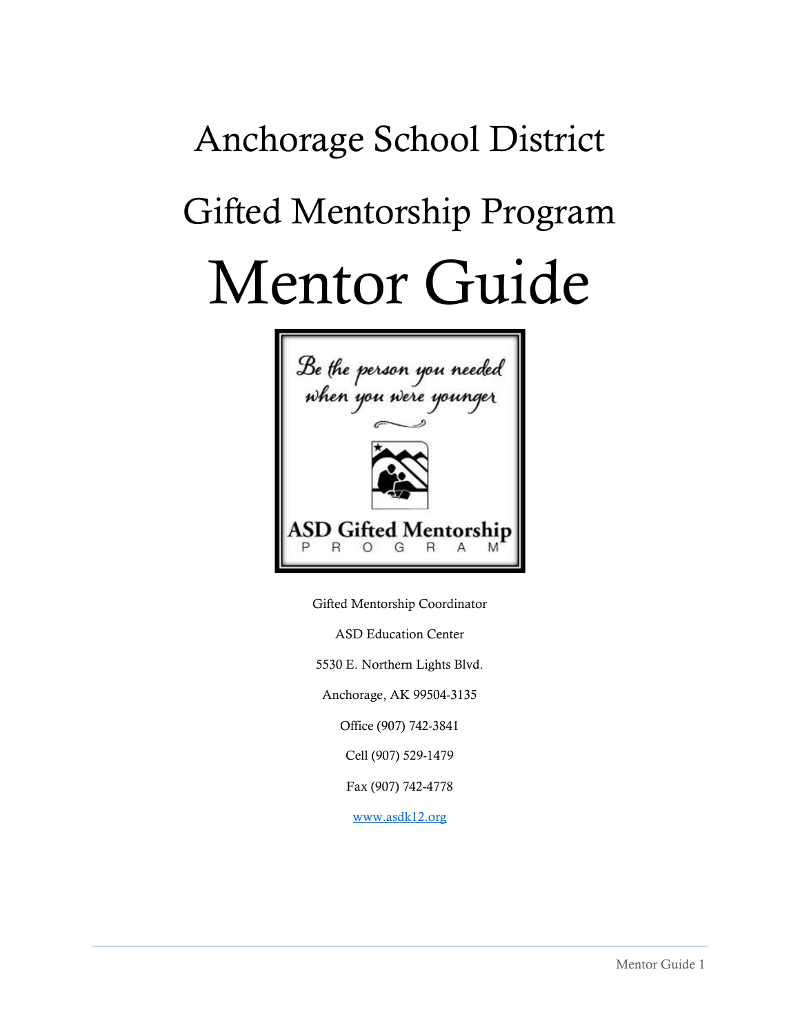# Anchorage School District Gifted Mentorship Program Mentor Guide



Gifted Mentorship Coordinator ASD Education Center 5530 E. Northern Lights Blvd. Anchorage, AK 99504-3135 Office (907) 742-3841 Cell (907) 529-1479 Fax (907) 742-4778

[www.asdk12.org](http://www.asdk12.org/)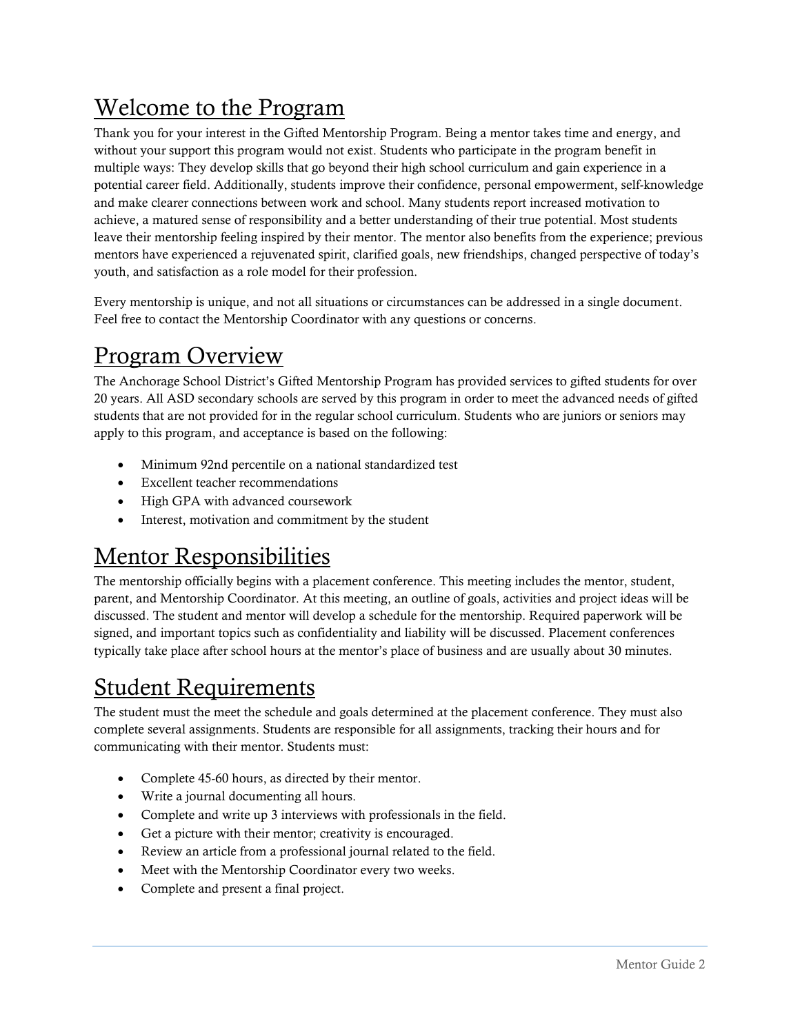# Welcome to the Program

Thank you for your interest in the Gifted Mentorship Program. Being a mentor takes time and energy, and without your support this program would not exist. Students who participate in the program benefit in multiple ways: They develop skills that go beyond their high school curriculum and gain experience in a potential career field. Additionally, students improve their confidence, personal empowerment, self-knowledge and make clearer connections between work and school. Many students report increased motivation to achieve, a matured sense of responsibility and a better understanding of their true potential. Most students leave their mentorship feeling inspired by their mentor. The mentor also benefits from the experience; previous mentors have experienced a rejuvenated spirit, clarified goals, new friendships, changed perspective of today's youth, and satisfaction as a role model for their profession.

Every mentorship is unique, and not all situations or circumstances can be addressed in a single document. Feel free to contact the Mentorship Coordinator with any questions or concerns.

## Program Overview

The Anchorage School District's Gifted Mentorship Program has provided services to gifted students for over 20 years. All ASD secondary schools are served by this program in order to meet the advanced needs of gifted students that are not provided for in the regular school curriculum. Students who are juniors or seniors may apply to this program, and acceptance is based on the following:

- Minimum 92nd percentile on a national standardized test
- Excellent teacher recommendations
- High GPA with advanced coursework
- Interest, motivation and commitment by the student

## Mentor Responsibilities

The mentorship officially begins with a placement conference. This meeting includes the mentor, student, parent, and Mentorship Coordinator. At this meeting, an outline of goals, activities and project ideas will be discussed. The student and mentor will develop a schedule for the mentorship. Required paperwork will be signed, and important topics such as confidentiality and liability will be discussed. Placement conferences typically take place after school hours at the mentor's place of business and are usually about 30 minutes.

#### Student Requirements

The student must the meet the schedule and goals determined at the placement conference. They must also complete several assignments. Students are responsible for all assignments, tracking their hours and for communicating with their mentor. Students must:

- Complete 45-60 hours, as directed by their mentor.
- Write a journal documenting all hours.
- Complete and write up 3 interviews with professionals in the field.
- Get a picture with their mentor; creativity is encouraged.
- Review an article from a professional journal related to the field.
- Meet with the Mentorship Coordinator every two weeks.
- Complete and present a final project.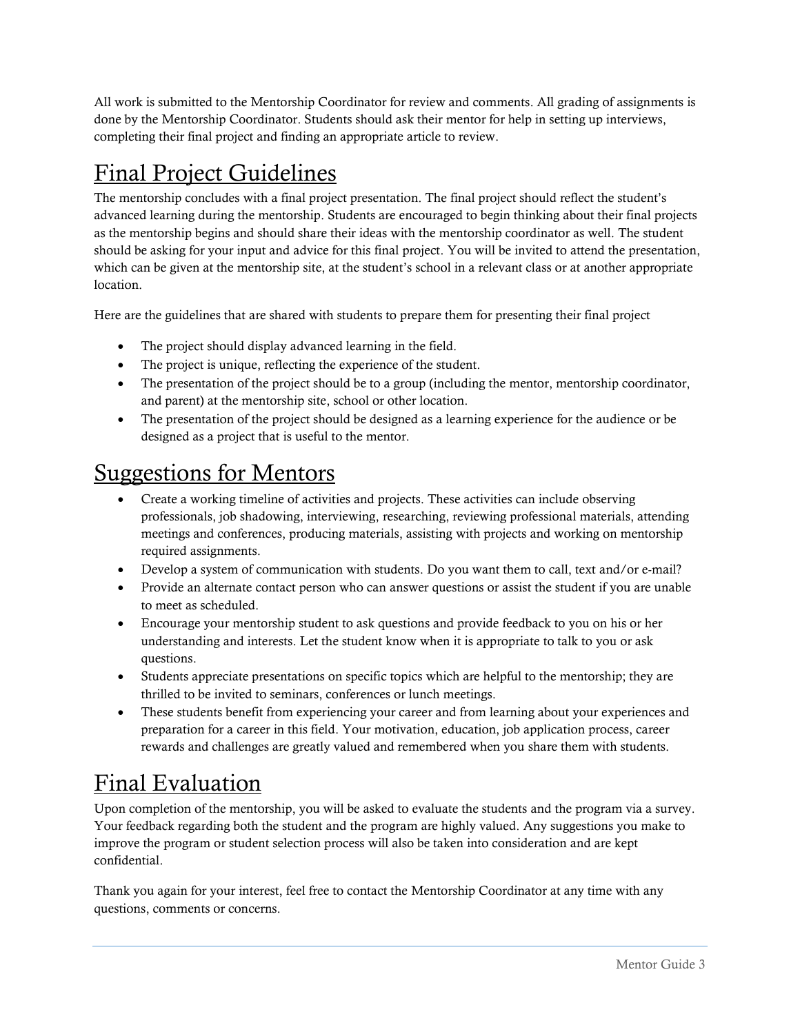All work is submitted to the Mentorship Coordinator for review and comments. All grading of assignments is done by the Mentorship Coordinator. Students should ask their mentor for help in setting up interviews, completing their final project and finding an appropriate article to review.

# Final Project Guidelines

The mentorship concludes with a final project presentation. The final project should reflect the student's advanced learning during the mentorship. Students are encouraged to begin thinking about their final projects as the mentorship begins and should share their ideas with the mentorship coordinator as well. The student should be asking for your input and advice for this final project. You will be invited to attend the presentation, which can be given at the mentorship site, at the student's school in a relevant class or at another appropriate location.

Here are the guidelines that are shared with students to prepare them for presenting their final project

- The project should display advanced learning in the field.
- The project is unique, reflecting the experience of the student.
- The presentation of the project should be to a group (including the mentor, mentorship coordinator, and parent) at the mentorship site, school or other location.
- The presentation of the project should be designed as a learning experience for the audience or be designed as a project that is useful to the mentor.

## Suggestions for Mentors

- Create a working timeline of activities and projects. These activities can include observing professionals, job shadowing, interviewing, researching, reviewing professional materials, attending meetings and conferences, producing materials, assisting with projects and working on mentorship required assignments.
- Develop a system of communication with students. Do you want them to call, text and/or e-mail?
- Provide an alternate contact person who can answer questions or assist the student if you are unable to meet as scheduled.
- Encourage your mentorship student to ask questions and provide feedback to you on his or her understanding and interests. Let the student know when it is appropriate to talk to you or ask questions.
- Students appreciate presentations on specific topics which are helpful to the mentorship; they are thrilled to be invited to seminars, conferences or lunch meetings.
- These students benefit from experiencing your career and from learning about your experiences and preparation for a career in this field. Your motivation, education, job application process, career rewards and challenges are greatly valued and remembered when you share them with students.

## Final Evaluation

Upon completion of the mentorship, you will be asked to evaluate the students and the program via a survey. Your feedback regarding both the student and the program are highly valued. Any suggestions you make to improve the program or student selection process will also be taken into consideration and are kept confidential.

Thank you again for your interest, feel free to contact the Mentorship Coordinator at any time with any questions, comments or concerns.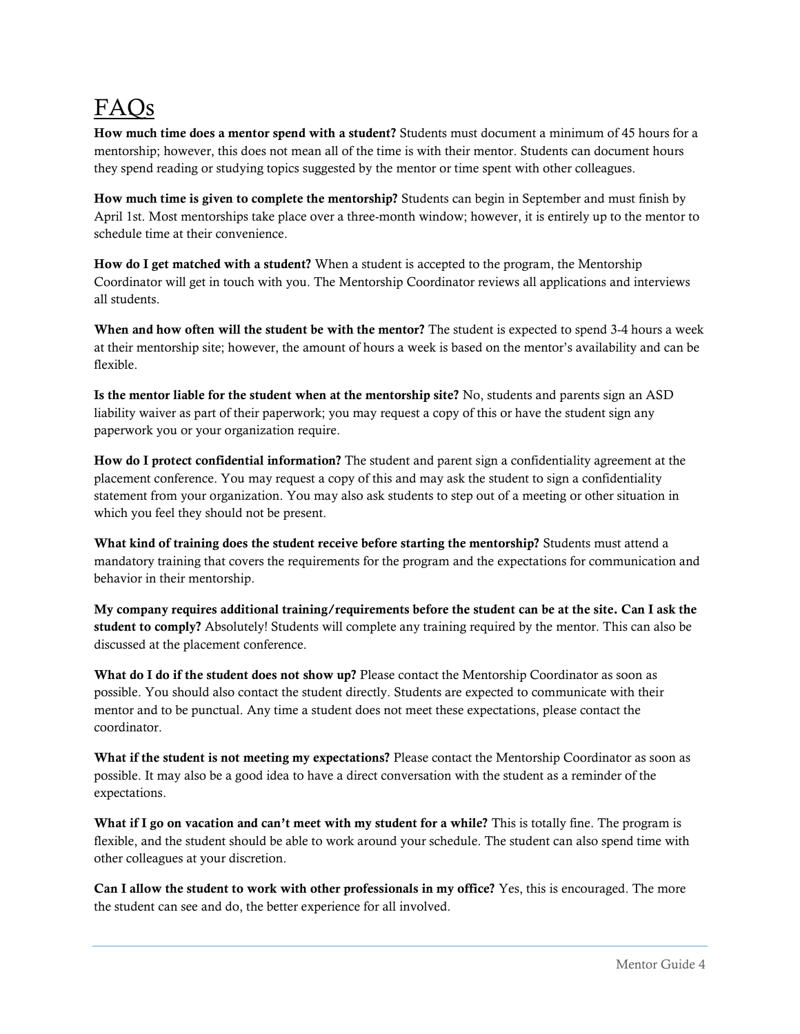# FAQs

**How much time does a mentor spend with a student?** Students must document a minimum of 45 hours for a mentorship; however, this does not mean all of the time is with their mentor. Students can document hours they spend reading or studying topics suggested by the mentor or time spent with other colleagues.

**How much time is given to complete the mentorship?** Students can begin in September and must finish by April 1st. Most mentorships take place over a three-month window; however, it is entirely up to the mentor to schedule time at their convenience.

**How do I get matched with a student?** When a student is accepted to the program, the Mentorship Coordinator will get in touch with you. The Mentorship Coordinator reviews all applications and interviews all students.

**When and how often will the student be with the mentor?** The student is expected to spend 3-4 hours a week at their mentorship site; however, the amount of hours a week is based on the mentor's availability and can be flexible.

**Is the mentor liable for the student when at the mentorship site?** No, students and parents sign an ASD liability waiver as part of their paperwork; you may request a copy of this or have the student sign any paperwork you or your organization require.

**How do I protect confidential information?** The student and parent sign a confidentiality agreement at the placement conference. You may request a copy of this and may ask the student to sign a confidentiality statement from your organization. You may also ask students to step out of a meeting or other situation in which you feel they should not be present.

**What kind of training does the student receive before starting the mentorship?** Students must attend a mandatory training that covers the requirements for the program and the expectations for communication and behavior in their mentorship.

**My company requires additional training/requirements before the student can be at the site. Can I ask the student to comply?** Absolutely! Students will complete any training required by the mentor. This can also be discussed at the placement conference.

**What do I do if the student does not show up?** Please contact the Mentorship Coordinator as soon as possible. You should also contact the student directly. Students are expected to communicate with their mentor and to be punctual. Any time a student does not meet these expectations, please contact the coordinator.

**What if the student is not meeting my expectations?** Please contact the Mentorship Coordinator as soon as possible. It may also be a good idea to have a direct conversation with the student as a reminder of the expectations.

**What if I go on vacation and can't meet with my student for a while?** This is totally fine. The program is flexible, and the student should be able to work around your schedule. The student can also spend time with other colleagues at your discretion.

**Can I allow the student to work with other professionals in my office?** Yes, this is encouraged. The more the student can see and do, the better experience for all involved.